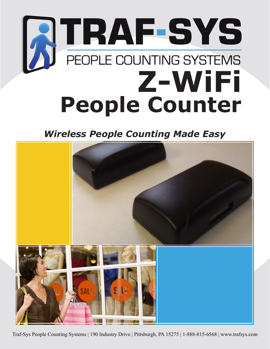## **ATRAF-SYS Z-WiFi People Counter**

*Wireless People Counting Made Easy*



Traf-Sys People Counting Systems | 190 Industry Drive | Pittsburgh, PA 15275 | 1-888-815-6568 | www.trafsys.com